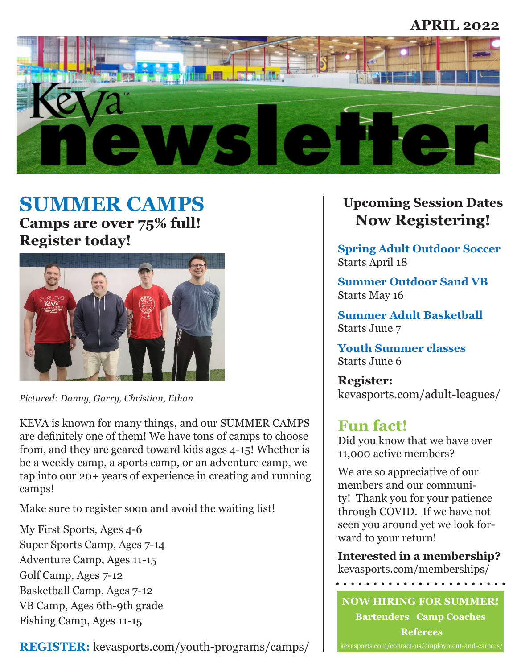### **APRIL 2022**



# **SUMMER CAMPS Camps are over 75% full!**

**Register today!**



*Pictured: Danny, Garry, Christian, Ethan*

KEVA is known for many things, and our SUMMER CAMPS are definitely one of them! We have tons of camps to choose from, and they are geared toward kids ages 4-15! Whether is be a weekly camp, a sports camp, or an adventure camp, we tap into our 20+ years of experience in creating and running camps!

Make sure to register soon and avoid the waiting list!

My First Sports, Ages 4-6 Super Sports Camp, Ages 7-14 Adventure Camp, Ages 11-15 Golf Camp, Ages 7-12 Basketball Camp, Ages 7-12 VB Camp, Ages 6th-9th grade Fishing Camp, Ages 11-15

**REGISTER:** kevasports.com/youth-programs/camps/

# **Upcoming Session Dates Now Registering!**

**Spring Adult Outdoor Soccer** Starts April 18

**Summer Outdoor Sand VB** Starts May 16

**Summer Adult Basketball** Starts June 7

**Youth Summer classes** Starts June 6

**Register:**  kevasports.com/adult-leagues/

## **Fun fact!**

Did you know that we have over 11,000 active members?

We are so appreciative of our members and our community! Thank you for your patience through COVID. If we have not seen you around yet we look forward to your return!

**Interested in a membership?**  kevasports.com/memberships/

. . . . . . . . . . . . . . . . . . . .

**NOW HIRING FOR SUMMER! Bartenders Camp Coaches Referees**  kevasports.com/contact-us/employment-and-careers/